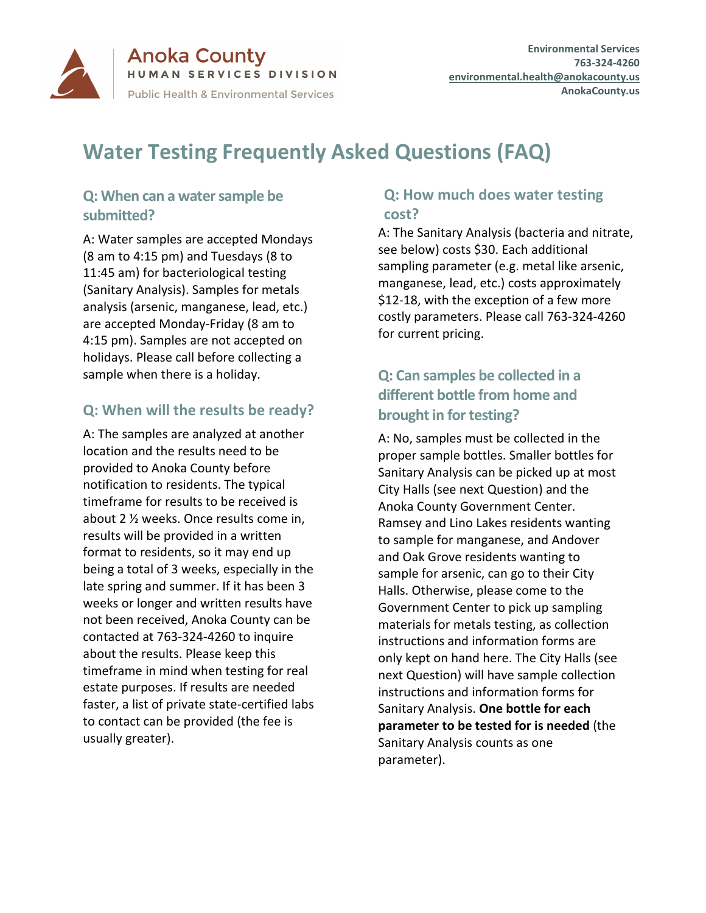

**Anoka County** HUMAN SERVICES DIVISION **Public Health & Environmental Services** 

# **Water Testing Frequently Asked Questions (FAQ)**

## **Q: When can a water sample be submitted?**

A: Water samples are accepted Mondays (8 am to 4:15 pm) and Tuesdays (8 to 11:45 am) for bacteriological testing (Sanitary Analysis). Samples for metals analysis (arsenic, manganese, lead, etc.) are accepted Monday-Friday (8 am to 4:15 pm). Samples are not accepted on holidays. Please call before collecting a sample when there is a holiday.

## **Q: When will the results be ready?**

A: The samples are analyzed at another location and the results need to be provided to Anoka County before notification to residents. The typical timeframe for results to be received is about 2 ½ weeks. Once results come in, results will be provided in a written format to residents, so it may end up being a total of 3 weeks, especially in the late spring and summer. If it has been 3 weeks or longer and written results have not been received, Anoka County can be contacted at 763-324-4260 to inquire about the results. Please keep this timeframe in mind when testing for real estate purposes. If results are needed faster, a list of private state-certified labs to contact can be provided (the fee is usually greater).

## **Q: How much does water testing cost?**

A: The Sanitary Analysis (bacteria and nitrate, see below) costs \$30. Each additional sampling parameter (e.g. metal like arsenic, manganese, lead, etc.) costs approximately \$12-18, with the exception of a few more costly parameters. Please call 763-324-4260 for current pricing.

## **Q: Can samples be collected in a different bottle from home and brought in for testing?**

A: No, samples must be collected in the proper sample bottles. Smaller bottles for Sanitary Analysis can be picked up at most City Halls (see next Question) and the Anoka County Government Center. Ramsey and Lino Lakes residents wanting to sample for manganese, and Andover and Oak Grove residents wanting to sample for arsenic, can go to their City Halls. Otherwise, please come to the Government Center to pick up sampling materials for metals testing, as collection instructions and information forms are only kept on hand here. The City Halls (see next Question) will have sample collection instructions and information forms for Sanitary Analysis. **One bottle for each parameter to be tested for is needed** (the Sanitary Analysis counts as one parameter).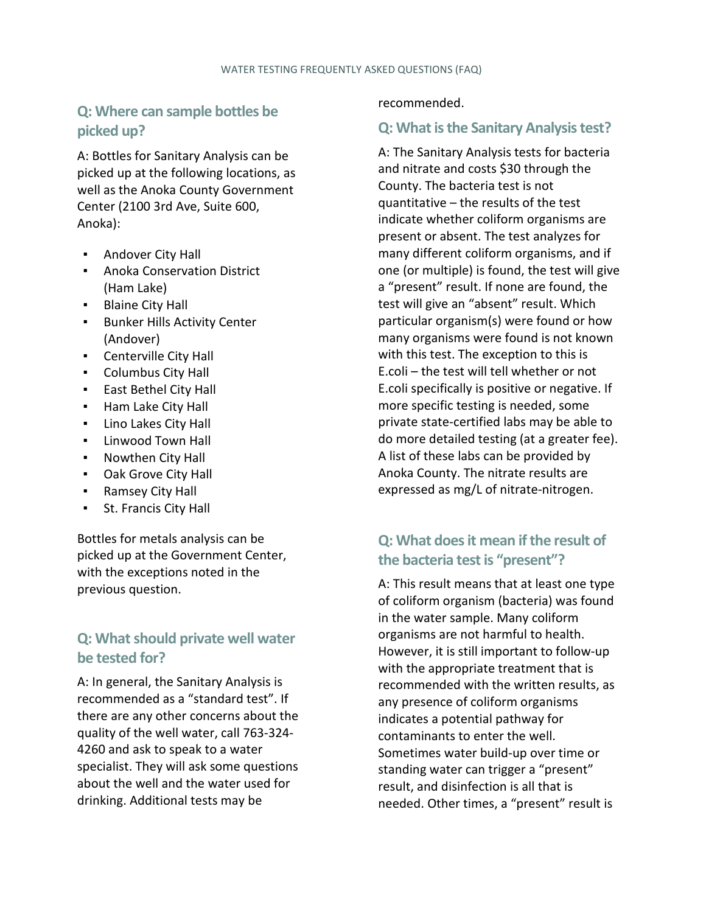## **Q: Where can sample bottles be picked up?**

A: Bottles for Sanitary Analysis can be picked up at the following locations, as well as the Anoka County Government Center (2100 3rd Ave, Suite 600, Anoka):

- Andover City Hall
- Anoka Conservation District (Ham Lake)
- **•** Blaine City Hall
- **EXECT:** Bunker Hills Activity Center (Andover)
- Centerville City Hall
- Columbus City Hall
- East Bethel City Hall
- Ham Lake City Hall
- Lino Lakes City Hall
- Linwood Town Hall
- Nowthen City Hall
- Oak Grove City Hall
- Ramsey City Hall
- St. Francis City Hall

Bottles for metals analysis can be picked up at the Government Center, with the exceptions noted in the previous question.

## **Q: What should private well water be tested for?**

A: In general, the Sanitary Analysis is recommended as a "standard test". If there are any other concerns about the quality of the well water, call 763-324- 4260 and ask to speak to a water specialist. They will ask some questions about the well and the water used for drinking. Additional tests may be

#### recommended.

#### **Q: What is the Sanitary Analysis test?**

A: The Sanitary Analysis tests for bacteria and nitrate and costs \$30 through the County. The bacteria test is not quantitative – the results of the test indicate whether coliform organisms are present or absent. The test analyzes for many different coliform organisms, and if one (or multiple) is found, the test will give a "present" result. If none are found, the test will give an "absent" result. Which particular organism(s) were found or how many organisms were found is not known with this test. The exception to this is E.coli – the test will tell whether or not E.coli specifically is positive or negative. If more specific testing is needed, some private state-certified labs may be able to do more detailed testing (at a greater fee). A list of these labs can be provided by Anoka County. The nitrate results are expressed as mg/L of nitrate-nitrogen.

## **Q: What does it mean if the result of the bacteria test is "present"?**

A: This result means that at least one type of coliform organism (bacteria) was found in the water sample. Many coliform organisms are not harmful to health. However, it is still important to follow-up with the appropriate treatment that is recommended with the written results, as any presence of coliform organisms indicates a potential pathway for contaminants to enter the well. Sometimes water build-up over time or standing water can trigger a "present" result, and disinfection is all that is needed. Other times, a "present" result is